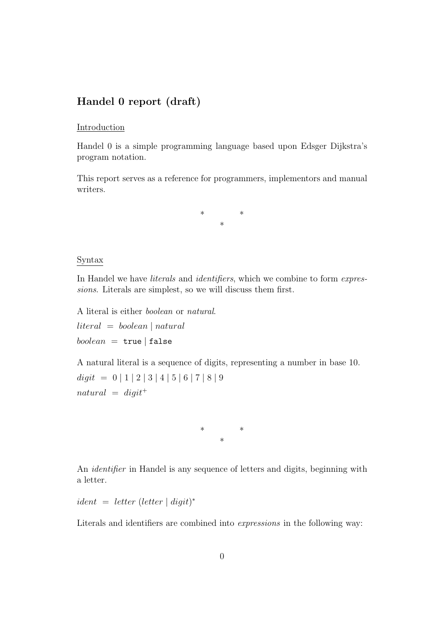# Handel 0 report (draft)

#### Introduction

Handel 0 is a simple programming language based upon Edsger Dijkstra's program notation.

This report serves as a reference for programmers, implementors and manual writers.

> \* \* \*

### Syntax

In Handel we have *literals* and *identifiers*, which we combine to form *expres*sions. Literals are simplest, so we will discuss them first.

A literal is either boolean or natural.  $literal = boolean | natural$ 

 $boolean = true | false$ 

A natural literal is a sequence of digits, representing a number in base 10.  $\text{digit}$  = 0 | 1 | 2 | 3 | 4 | 5 | 6 | 7 | 8 | 9  $natural = digit^+$ 

> \* \* \*

An identifier in Handel is any sequence of letters and digits, beginning with a letter.

 $ident = letter (letter | digit)*$ 

Literals and identifiers are combined into expressions in the following way: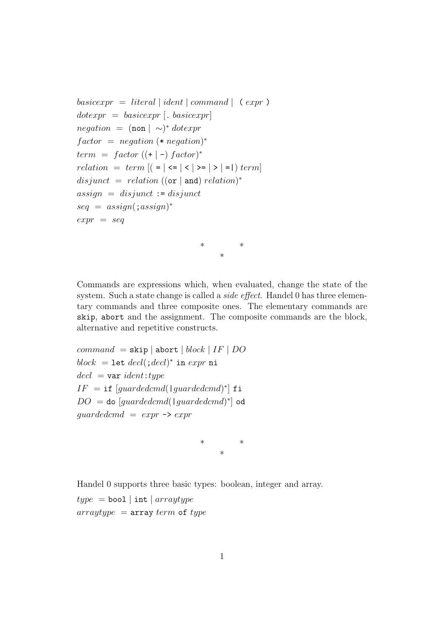```
basicexpr = literal | ident | comment | (expr )dotexpr = basicexpr [. basicexpr]
negation = (non | \sim)^* dotexprfactor = negation (* negation)<sup>*</sup>
term = factor ((+ | -) factor)^*relation = term |(-|<|<|> >= |>|-|) term
disjunct = relation ((or | and) relation)^*assign = disjunct := disjunctseq = assign(:,assign)^*expr = seq
```
Commands are expressions which, when evaluated, change the state of the system. Such a state change is called a *side effect*. Handel 0 has three elementary commands and three composite ones. The elementary commands are skip, abort and the assignment. The composite commands are the block, alternative and repetitive constructs.

\* \* \*

 $command = skip | abort | block | IF | DO$  $block = \texttt{let } decl(\texttt{;}decl)^* \texttt{ in } expr \texttt{ ni}$  $\text{del} = \text{var} \text{ ident:} \text{type}$  $IF = \texttt{if} \; [guardedcmd(\mid guardedcmd)^*] \; \texttt{fi}$  $DO =$  do  $[guardedcmd($  |  $guardedcmd)^*]$  od quardedcmd  $= exp r \rightarrow exp r$ 

> \* \* \*

Handel 0 supports three basic types: boolean, integer and array.

 $type = bool | int | arraytype$  $arraytype = array term of type$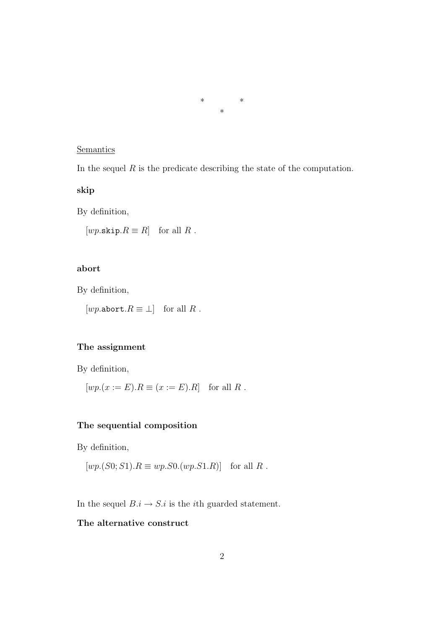#### \* \* \*

## **Semantics**

In the sequel  $R$  is the predicate describing the state of the computation.

### skip

By definition,

 $[wp.\texttt{skip}.R \equiv R]$  for all R.

### abort

By definition,

[*wp*.abort. $R \equiv \perp$ ] for all R.

## The assignment

By definition,

 $[wp.(x := E).R \equiv (x := E).R]$  for all R.

#### The sequential composition

By definition,

$$
[wp.(S0;S1).R \equiv wp.S0.(wp.S1.R)] \text{ for all } R.
$$

In the sequel  $B.i \to S.i$  is the *i*th guarded statement.

## The alternative construct